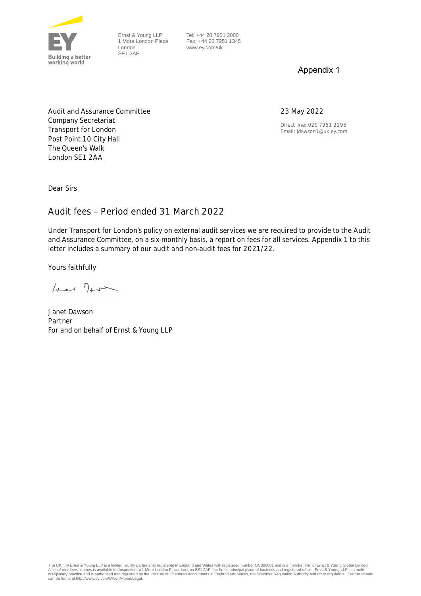

Ernst & Young LLP 1 More London Place London SE1 2AF

 Tel: +44 20 7951 2000 Fax: +44 20 7951 1345 www.ey.com/uk

## Appendix 1

## 23 May 2022

Direct line: 020 7951 2195 Email: jdawson1@uk.ey.com

Audit and Assurance Committee Company Secretariat Transport for London Post Point 10 City Hall The Queen's Walk London SE1 2AA

Dear Sirs

## **Audit fees – Period ended 31 March 2022**

Under Transport for London's policy on external audit services we are required to provide to the Audit and Assurance Committee, on a six-monthly basis, a report on fees for all services. Appendix 1 to this letter includes a summary of our audit and non-audit fees for 2021/22.

Yours faithfully

 $\int_{\Delta-\epsilon}$   $\int_{\Delta-\epsilon}$ 

Janet Dawson Partner For and on behalf of Ernst & Young LLP